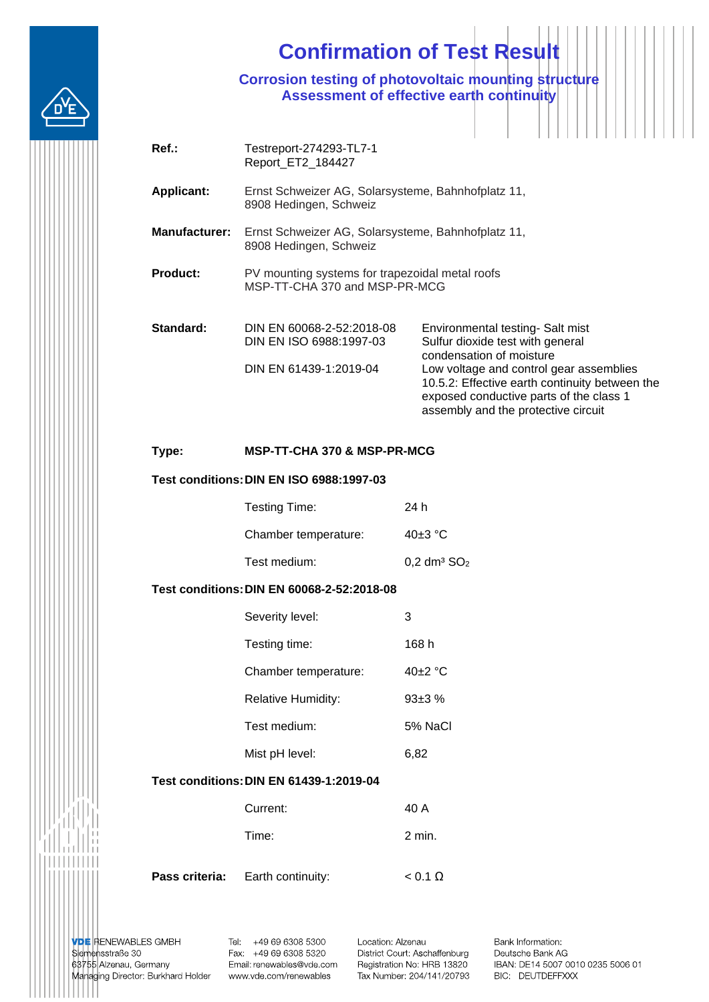# **Confirmation of Test Result**

**Corrosion testing of photovoltaic mounting structure Assessment of effective earth continuity**

| $Ref.$ :             | Testreport-274293-TL7-1<br>Report_ET2_184427                                     |                                                                                                                                                                                                                                                                                 |  |
|----------------------|----------------------------------------------------------------------------------|---------------------------------------------------------------------------------------------------------------------------------------------------------------------------------------------------------------------------------------------------------------------------------|--|
| <b>Applicant:</b>    | Ernst Schweizer AG, Solarsysteme, Bahnhofplatz 11,<br>8908 Hedingen, Schweiz     |                                                                                                                                                                                                                                                                                 |  |
| <b>Manufacturer:</b> | Ernst Schweizer AG, Solarsysteme, Bahnhofplatz 11,<br>8908 Hedingen, Schweiz     |                                                                                                                                                                                                                                                                                 |  |
| <b>Product:</b>      | PV mounting systems for trapezoidal metal roofs<br>MSP-TT-CHA 370 and MSP-PR-MCG |                                                                                                                                                                                                                                                                                 |  |
| Standard:            | DIN EN 60068-2-52:2018-08<br>DIN EN ISO 6988:1997-03<br>DIN EN 61439-1:2019-04   | Environmental testing- Salt mist<br>Sulfur dioxide test with general<br>condensation of moisture<br>Low voltage and control gear assemblies<br>10.5.2: Effective earth continuity between the<br>exposed conductive parts of the class 1<br>assembly and the protective circuit |  |

### **Type: MSP-TT-CHA 370 & MSP-PR-MCG**

# **Test conditions:DIN EN ISO 6988:1997-03**

| Testing Time:        | 24 h                        |
|----------------------|-----------------------------|
| Chamber temperature: | 40 $\pm$ 3 °C               |
| Test medium:         | $0,2$ dm <sup>3</sup> $SO2$ |

#### **Test conditions:DIN EN 60068-2-52:2018-08**

| Severity level:           | 3             |
|---------------------------|---------------|
| Testing time:             | 168 h         |
| Chamber temperature:      | 40 $\pm$ 2 °C |
| <b>Relative Humidity:</b> | $93+3%$       |
| Test medium:              | 5% NaCl       |
| Mist pH level:            | 6.82          |

## **Test conditions:DIN EN 61439-1:2019-04**

| Current:                                | 40 A           |
|-----------------------------------------|----------------|
| Time:                                   | $2$ min.       |
| <b>Pass criteria:</b> Earth continuity: | $< 0.1 \Omega$ |

**VDE RENEWABLES GMBH** Siemensstraße 30 63755 Alzenau, Germany Managing Director: Burkhard Holder www.vde.com/renewables

Tel: +49 69 6308 5300 Fax: +49 69 6308 5320 Email: renewables@vde.com Location: Alzenau District Court: Aschaffenburg Registration No: HRB 13820 Tax Number: 204/141/20793

Bank Information: Deutsche Bank AG IBAN: DE14 5007 0010 0235 5006 01 BIC: DEUTDEFFXXX